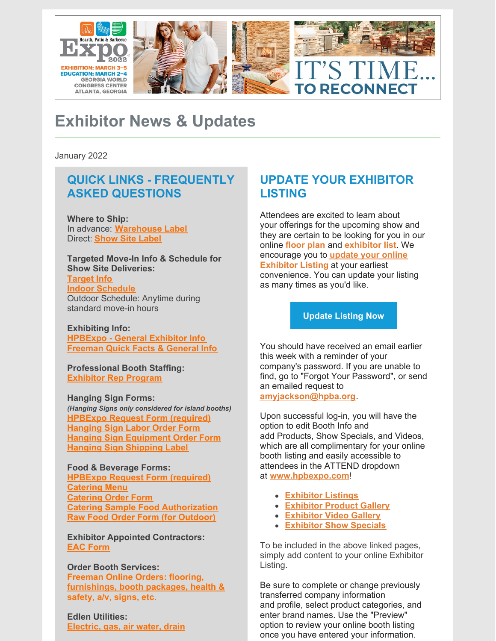

# **Exhibitor News & Updates**

January 2022

# **QUICK LINKS - FREQUENTLY ASKED QUESTIONS**

**Where to Ship:** In advance: **[Warehouse](https://www.freemanco.com/forms/506051/shipping_labels_warehouse.pdf) Label** Direct: **[Show](http://freemanco.com/forms/506051/shipping_labels_show_site.pdf) Site Label**

**Targeted Move-In Info & Schedule for Show Site Deliveries: [Target](https://www.freemanco.com/forms/506051/target_move_in_information.pdf) Info Indoor [Schedule](https://www.freemanco.com/forms/506051/Target Move-In Hall C1-C4.pdf)** Outdoor Schedule: Anytime during standard move-in hours

**Exhibiting Info: [HPBExpo](https://www.freemanco.com/forms/506051/General Information for Exhibitors.pdf) - General Exhibitor Info [Freeman](https://www.freemanco.com/forms/506051/0_QF_506051.pdf) Quick Facts & General Info**

**Professional Booth Staffing: [Exhibitor](https://files.constantcontact.com/ae878cba201/474303a8-fbeb-4ae7-9269-01f19c17aa4f.pdf) Rep Program**

**Hanging Sign Forms:** *(Hanging Signs only considered for island booths)* **[HPBExpo](https://www.freemanco.com/forms/506051/Variance, Hanging Sign, Food_Bev Approval Request Form.pdf) Request Form (required) [Hanging](https://www.freemanco.com/forms/506051/hanging_sign_labor.pdf) Sign Labor Order Form Hanging Sign [Equipment](https://www.freemanco.com/forms/506051/hanging_sign_equipment.pdf) Order Form Hanging Sign [Shipping](https://www.freemanco.com/forms/506051/shipping_labels_hanging_sign_warehouse.pdf) Label**

**Food & Beverage Forms: [HPBExpo](https://www.freemanco.com/forms/506051/Variance, Hanging Sign, Food_Bev Approval Request Form.pdf) Request Form (required) [Catering](https://www.freemanco.com/forms/506051/catering.pdf) Menu [Catering](https://www.freemanco.com/forms/506051/Catering Order Form.pdf) Order Form Catering Sample Food [Authorization](https://www.freemanco.com/forms/506051/Catering Sampling Authorization Request - Levy.pdf) Raw Food Order Form (for [Outdoor\)](https://www.freemanco.com/forms/506051/5.5 Raw Food Order Form.pdf)**

**Exhibitor Appointed Contractors: EAC [Form](https://www.freemanco.com/forms/506051/EAC Request Form & Insurance Sample (1).pdf)**

**Order Booth Services: Freeman Online Orders: flooring, [furnishings,](https://www.freemanco.com/store/products-services?showID=506051) booth packages, health & safety, a/v, signs, etc.**

**Edlen Utilities: [Electric,](http://ordering.edlen.com) gas, air water, drain**

# **UPDATE YOUR EXHIBITOR LISTING**

Attendees are excited to learn about your offerings for the upcoming show and they are certain to be looking for you in our online **[floor](https://s23.a2zinc.net/clients/HPBA/HPBExpo2022/Public/eventmap.aspx?shmode=&thumbnail=1) plan** and **[exhibitor](https://s23.a2zinc.net/clients/HPBA/HPBExpo2022/Public/Exhibitors.aspx) list**. We [encourage](https://s23.a2zinc.net/clients/HPBA/HPBExpo2022/Public/e_Login.aspx) you to **update your online Exhibitor Listing** at your earliest convenience. You can update your listing as many times as you'd like.

#### **[Update](https://s23.a2zinc.net/clients/HPBA/HPBExpo2022/Public/e_Login.aspx) Listing Now**

You should have received an email earlier this week with a reminder of your company's password. If you are unable to find, go to "Forgot Your Password", or send an emailed request to

**[amyjackson@hpba.org](mailto:amyjackson@hpba.org)**.

Upon successful log-in, you will have the option to edit Booth Info and add Products, Show Specials, and Videos, which are all complimentary for your online booth listing and easily accessible to attendees in the ATTEND dropdown at **[www.hpbexpo.com](https://u8084946.ct.sendgrid.net/ls/click?upn=tElb281MxgmRKcz-2FammfUBrMLhcmFzYr2fWet8nqaCs-3Dya6x_90VI2vFgedp1RIzA7zCIvBEijjexdE-2ByqPaWJ5QPP6uiyLCawsVzvZc7G8KSEZ9diRvWU02XR5PJazSoaLFxSwZvBq85fhuKfAPxDCRQ-2Fy-2FVisGXd0U298M-2Bi8H88-2FdZG9TT0DW3FkOBNHqa5-2BB-2F3ttPNucUEFIWlCBOOslZPWV5XKVw-2F9PiTLKBZ2yw5DcW4SplrXIlvH7jIVUvrZnyPF3guH0YYmZGmT-2FcPce8NNCCoKSJy3zy5FOcOAMmTKDAxFl9QZyz1pHPyLtDLsS-2BwaEahcfF-2BT4S50IxTP5h2uTFjoy7t760eCmQPstWav71rNjlUIE2cscQMfsAWzmA1t-2BEGzeRZ5dWGgBO2ET8Dhe-2F2w-2BnnzsBbmVdt8h-2FnTksnTmtFKgVSGOhInwvxhqUBg-3D-3D)**!

- **[Exhibitor](https://s23.a2zinc.net/clients/HPBA/HPBExpo2022/Public/Exhibitors.aspx) Listings**
- **[Exhibitor](https://s23.a2zinc.net/clients/HPBA/HPBExpo2022/public/ProductSearch.aspx) Product Gallery**
- **[Exhibitor](https://s23.a2zinc.net/clients/HPBA/HPBExpo2022/public/VideoList.aspx) Video Gallery**
- **[Exhibitor](https://s23.a2zinc.net/clients/HPBA/HPBExpo2022/public/ShowSpecials.aspx) Show Specials**

To be included in the above linked pages, simply add content to your online Exhibitor Listing.

Be sure to complete or change previously transferred company information and profile, select product categories, and enter brand names. Use the "Preview" option to review your online booth listing once you have entered your information.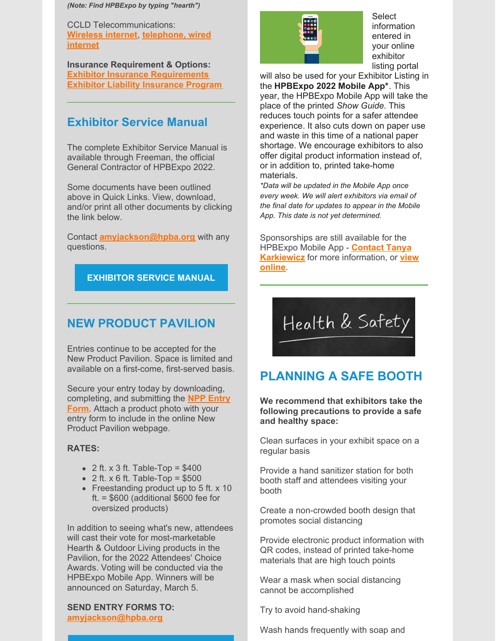*(Note: Find HPBExpo by typing "hearth")*

CCLD Telecommunications: **[Wireless](https://www.freemanco.com/forms/506051/Wireless Internet Order Form - CCLD.pdf) internet**, **[telephone,](https://www.freemanco.com/forms/506051/Telephone & Wired Internet Order Form - CCLD.pdf) wired internet**

**Insurance Requirement & Options: Exhibitor Insurance [Requirements](https://www.freemanco.com/forms/506051/Exhibitor Insurance Requirements & Order Form_updated.pdf) Exhibitor Liability [Insurance](https://www.freemanco.com/forms/506051/Liability Insurance Program Form - Rainprotection Insurance_updated.pdf) Program**

### **Exhibitor Service Manual**

The complete Exhibitor Service Manual is available through Freeman, the official General Contractor of HPBExpo 2022.

Some documents have been outlined above in Quick Links. View, download, and/or print all other documents by clicking the link below.

Contact **[amyjackson@hpba.org](mailto:amyjackson@hpba.org)** with any questions.

#### **[EXHIBITOR](https://www.freemanco.com/store/forms-and-brochures?showID=506051) SERVICE MANUAL**

### **NEW PRODUCT PAVILION**

Entries continue to be accepted for the New Product Pavilion. Space is limited and available on a first-come, first-served basis.

Secure your entry today by downloading, [completing,](https://www.hpbexpo.com/wp-content/uploads/2021/12/New-Product-Pavilion-Entry-Form-Fillable.pdf) and submitting the **NPP Entry Form**. Attach a product photo with your entry form to include in the online New Product Pavilion webpage.

#### **RATES:**

- $\bullet$  2 ft. x 3 ft. Table-Top = \$400
- $\bullet$  2 ft. x 6 ft. Table-Top = \$500
- Freestanding product up to 5 ft. x 10 ft. = \$600 (additional \$600 fee for oversized products)

In addition to seeing what's new, attendees will cast their vote for most-marketable Hearth & Outdoor Living products in the Pavilion, for the 2022 Attendees' Choice Awards. Voting will be conducted via the HPBExpo Mobile App. Winners will be announced on Saturday, March 5.

**SEND ENTRY FORMS TO: [amyjackson@hpba.org](mailto:amyjackson@hpba.org)**



Select information entered in your online exhibitor listing portal

will also be used for your Exhibitor Listing in the **HPBExpo 2022 Mobile App\***. This year, the HPBExpo Mobile App will take the place of the printed *Show Guide*. This reduces touch points for a safer attendee experience. It also cuts down on paper use and waste in this time of a national paper shortage. We encourage exhibitors to also offer digital product information instead of, or in addition to, printed take-home materials.

*\*Data will be updated in the Mobile App once every week. We will alert exhibitors via email of the final date for updates to appear in the Mobile App. This date is not yet determined.*

Sponsorships are still available for the HPBExpo Mobile App - **Contact Tanya Karkiewicz** for more [information,](mailto:karkiewicz@hpba.org) or **view online**.

**PLANNING A SAFE BOOTH**

Health & Safety

**We recommend that exhibitors take the following precautions to provide a safe and healthy space:**

Clean surfaces in your exhibit space on a regular basis

Provide a hand sanitizer station for both booth staff and attendees visiting your booth

Create a non-crowded booth design that promotes social distancing

Provide electronic product information with QR codes, instead of printed take-home materials that are high touch points

Wear a mask when social distancing cannot be accomplished

Try to avoid hand-shaking

Wash hands frequently with soap and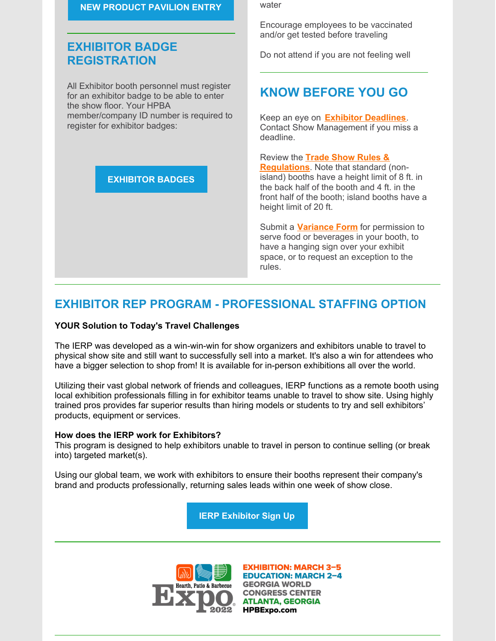#### **NEW [PRODUCT](https://www.hpbexpo.com/exhibit/new-product-pavilion/) PAVILION ENTRY**

# **EXHIBITOR BADGE REGISTRATION**

All Exhibitor booth personnel must register for an exhibitor badge to be able to enter the show floor. Your HPBA member/company ID number is required to register for exhibitor badges:

**[EXHIBITOR](https://www.hpbexpo.com/exhibit/exhibitor-badge-registration/) BADGES**

water

Encourage employees to be vaccinated and/or get tested before traveling

Do not attend if you are not feeling well

# **KNOW BEFORE YOU GO**

Keep an eye on **Exhibitor [Deadlines](http://www.hpbexpo.com/exhibit/deadlines)**. Contact Show Management if you miss a deadline.

Review the **Trade Show Rules & [Regulations](https://www.hpbexpo.com/wp-content/uploads/2021/07/Trade-Show-Rules-Regulations-HPBExpo-2022.pdf)**. Note that standard (nonisland) booths have a height limit of 8 ft. in the back half of the booth and 4 ft. in the front half of the booth; island booths have a height limit of 20 ft.

Submit a **[Variance](https://www.freemanco.com/forms/506051/Variance, Hanging Sign, Food_Bev Approval Request Form.pdf) Form** for permission to serve food or beverages in your booth, to have a hanging sign over your exhibit space, or to request an exception to the rules.

# **EXHIBITOR REP PROGRAM - PROFESSIONAL STAFFING OPTION**

#### **YOUR Solution to Today's Travel Challenges**

The IERP was developed as a win-win-win for show organizers and exhibitors unable to travel to physical show site and still want to successfully sell into a market. It's also a win for attendees who have a bigger selection to shop from! It is available for in-person exhibitions all over the world.

Utilizing their vast global network of friends and colleagues, IERP functions as a remote booth using local exhibition professionals filling in for exhibitor teams unable to travel to show site. Using highly trained pros provides far superior results than hiring models or students to try and sell exhibitors' products, equipment or services.

#### **How does the IERP work for Exhibitors?**

This program is designed to help exhibitors unable to travel in person to continue selling (or break into) targeted market(s).

Using our global team, we work with exhibitors to ensure their booths represent their company's brand and products professionally, returning sales leads within one week of show close.

**IERP [Exhibitor](https://internationalexhibitorrepprogram.com/exhibitor-sign-up) Sign Up**



**EXHIBITION: MARCH 3-5 EDUCATION: MARCH 2-4 GEORGIA WORLD CONGRESS CENTER ATLANTA, GEORGIA HPBExpo.com**